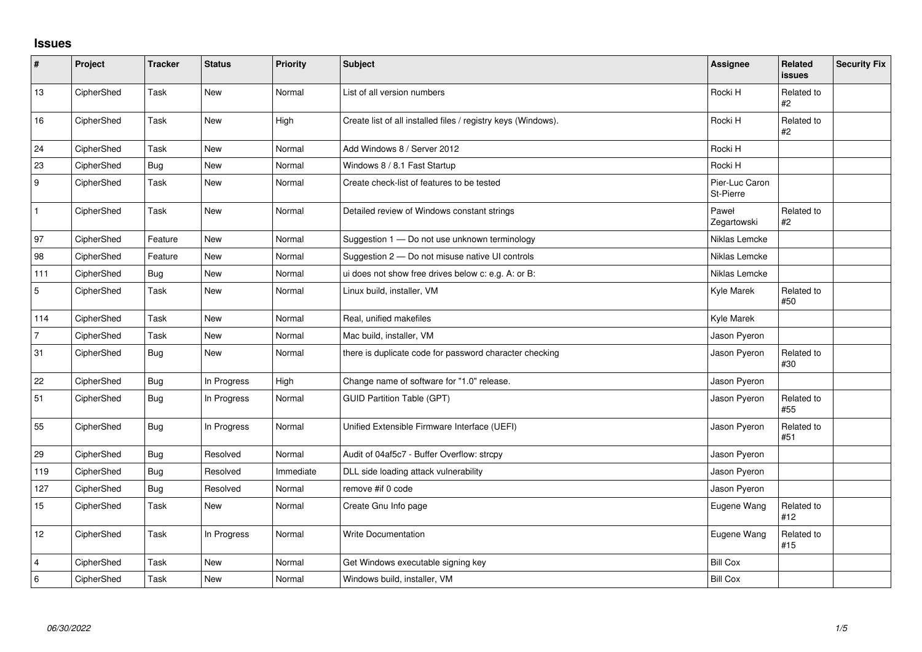## **Issues**

| $\sharp$         | Project    | <b>Tracker</b> | <b>Status</b> | <b>Priority</b> | Subject                                                       | <b>Assignee</b>             | <b>Related</b><br><b>issues</b> | <b>Security Fix</b> |
|------------------|------------|----------------|---------------|-----------------|---------------------------------------------------------------|-----------------------------|---------------------------------|---------------------|
| 13               | CipherShed | Task           | <b>New</b>    | Normal          | List of all version numbers                                   | Rocki H                     | Related to<br>#2                |                     |
| 16               | CipherShed | Task           | New           | High            | Create list of all installed files / registry keys (Windows). | Rocki H                     | Related to<br>#2                |                     |
| 24               | CipherShed | Task           | <b>New</b>    | Normal          | Add Windows 8 / Server 2012                                   | Rocki H                     |                                 |                     |
| 23               | CipherShed | <b>Bug</b>     | New           | Normal          | Windows 8 / 8.1 Fast Startup                                  | Rocki H                     |                                 |                     |
| $\boldsymbol{9}$ | CipherShed | Task           | New           | Normal          | Create check-list of features to be tested                    | Pier-Luc Caron<br>St-Pierre |                                 |                     |
| $\mathbf{1}$     | CipherShed | Task           | New           | Normal          | Detailed review of Windows constant strings                   | Paweł<br>Zegartowski        | Related to<br>#2                |                     |
| 97               | CipherShed | Feature        | <b>New</b>    | Normal          | Suggestion 1 - Do not use unknown terminology                 | Niklas Lemcke               |                                 |                     |
| 98               | CipherShed | Feature        | New           | Normal          | Suggestion 2 - Do not misuse native UI controls               | Niklas Lemcke               |                                 |                     |
| 111              | CipherShed | <b>Bug</b>     | New           | Normal          | ui does not show free drives below c: e.g. A: or B:           | Niklas Lemcke               |                                 |                     |
| $\mathbf 5$      | CipherShed | Task           | New           | Normal          | Linux build, installer, VM                                    | Kyle Marek                  | Related to<br>#50               |                     |
| 114              | CipherShed | Task           | New           | Normal          | Real, unified makefiles                                       | Kyle Marek                  |                                 |                     |
| $\overline{7}$   | CipherShed | Task           | New           | Normal          | Mac build, installer, VM                                      | Jason Pyeron                |                                 |                     |
| 31               | CipherShed | Bug            | <b>New</b>    | Normal          | there is duplicate code for password character checking       | Jason Pyeron                | Related to<br>#30               |                     |
| 22               | CipherShed | <b>Bug</b>     | In Progress   | High            | Change name of software for "1.0" release.                    | Jason Pyeron                |                                 |                     |
| 51               | CipherShed | <b>Bug</b>     | In Progress   | Normal          | <b>GUID Partition Table (GPT)</b>                             | Jason Pyeron                | Related to<br>#55               |                     |
| 55               | CipherShed | <b>Bug</b>     | In Progress   | Normal          | Unified Extensible Firmware Interface (UEFI)                  | Jason Pyeron                | Related to<br>#51               |                     |
| 29               | CipherShed | <b>Bug</b>     | Resolved      | Normal          | Audit of 04af5c7 - Buffer Overflow: strcpy                    | Jason Pyeron                |                                 |                     |
| 119              | CipherShed | Bug            | Resolved      | Immediate       | DLL side loading attack vulnerability                         | Jason Pyeron                |                                 |                     |
| 127              | CipherShed | <b>Bug</b>     | Resolved      | Normal          | remove #if 0 code                                             | Jason Pyeron                |                                 |                     |
| 15               | CipherShed | Task           | New           | Normal          | Create Gnu Info page                                          | Eugene Wang                 | Related to<br>#12               |                     |
| 12               | CipherShed | Task           | In Progress   | Normal          | <b>Write Documentation</b>                                    | Eugene Wang                 | Related to<br>#15               |                     |
| $\overline{4}$   | CipherShed | Task           | <b>New</b>    | Normal          | Get Windows executable signing key                            | <b>Bill Cox</b>             |                                 |                     |
| $\,6\,$          | CipherShed | Task           | New           | Normal          | Windows build, installer, VM                                  | <b>Bill Cox</b>             |                                 |                     |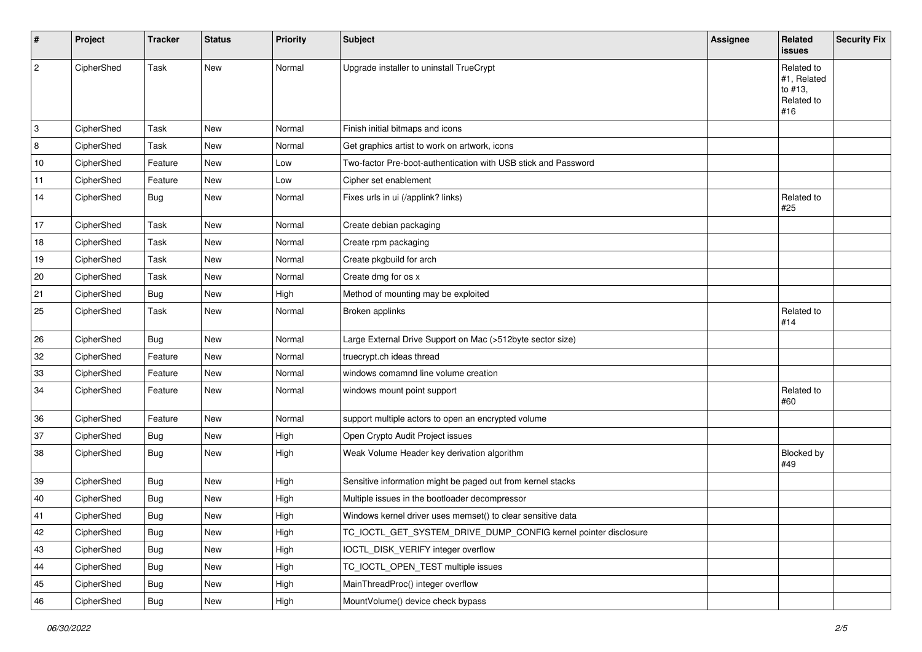| #    | Project    | <b>Tracker</b> | <b>Status</b> | <b>Priority</b> | <b>Subject</b>                                                  | <b>Assignee</b> | Related<br>issues                                         | <b>Security Fix</b> |
|------|------------|----------------|---------------|-----------------|-----------------------------------------------------------------|-----------------|-----------------------------------------------------------|---------------------|
| 2    | CipherShed | Task           | New           | Normal          | Upgrade installer to uninstall TrueCrypt                        |                 | Related to<br>#1, Related<br>to #13,<br>Related to<br>#16 |                     |
| 3    | CipherShed | Task           | New           | Normal          | Finish initial bitmaps and icons                                |                 |                                                           |                     |
| 8    | CipherShed | Task           | New           | Normal          | Get graphics artist to work on artwork, icons                   |                 |                                                           |                     |
| $10$ | CipherShed | Feature        | New           | Low             | Two-factor Pre-boot-authentication with USB stick and Password  |                 |                                                           |                     |
| 11   | CipherShed | Feature        | New           | Low             | Cipher set enablement                                           |                 |                                                           |                     |
| 14   | CipherShed | Bug            | New           | Normal          | Fixes urls in ui (/applink? links)                              |                 | Related to<br>#25                                         |                     |
| 17   | CipherShed | Task           | New           | Normal          | Create debian packaging                                         |                 |                                                           |                     |
| 18   | CipherShed | Task           | New           | Normal          | Create rpm packaging                                            |                 |                                                           |                     |
| 19   | CipherShed | Task           | New           | Normal          | Create pkgbuild for arch                                        |                 |                                                           |                     |
| 20   | CipherShed | Task           | New           | Normal          | Create dmg for os x                                             |                 |                                                           |                     |
| 21   | CipherShed | <b>Bug</b>     | New           | High            | Method of mounting may be exploited                             |                 |                                                           |                     |
| 25   | CipherShed | Task           | New           | Normal          | Broken applinks                                                 |                 | Related to<br>#14                                         |                     |
| 26   | CipherShed | <b>Bug</b>     | New           | Normal          | Large External Drive Support on Mac (>512byte sector size)      |                 |                                                           |                     |
| 32   | CipherShed | Feature        | New           | Normal          | truecrypt.ch ideas thread                                       |                 |                                                           |                     |
| 33   | CipherShed | Feature        | New           | Normal          | windows comamnd line volume creation                            |                 |                                                           |                     |
| 34   | CipherShed | Feature        | New           | Normal          | windows mount point support                                     |                 | Related to<br>#60                                         |                     |
| 36   | CipherShed | Feature        | New           | Normal          | support multiple actors to open an encrypted volume             |                 |                                                           |                     |
| 37   | CipherShed | <b>Bug</b>     | New           | High            | Open Crypto Audit Project issues                                |                 |                                                           |                     |
| 38   | CipherShed | Bug            | New           | High            | Weak Volume Header key derivation algorithm                     |                 | Blocked by<br>#49                                         |                     |
| 39   | CipherShed | <b>Bug</b>     | New           | High            | Sensitive information might be paged out from kernel stacks     |                 |                                                           |                     |
| 40   | CipherShed | <b>Bug</b>     | New           | High            | Multiple issues in the bootloader decompressor                  |                 |                                                           |                     |
| 41   | CipherShed | <b>Bug</b>     | New           | High            | Windows kernel driver uses memset() to clear sensitive data     |                 |                                                           |                     |
| 42   | CipherShed | <b>Bug</b>     | New           | High            | TC_IOCTL_GET_SYSTEM_DRIVE_DUMP_CONFIG kernel pointer disclosure |                 |                                                           |                     |
| 43   | CipherShed | <b>Bug</b>     | New           | High            | IOCTL_DISK_VERIFY integer overflow                              |                 |                                                           |                     |
| 44   | CipherShed | <b>Bug</b>     | New           | High            | TC_IOCTL_OPEN_TEST multiple issues                              |                 |                                                           |                     |
| 45   | CipherShed | <b>Bug</b>     | New           | High            | MainThreadProc() integer overflow                               |                 |                                                           |                     |
| 46   | CipherShed | Bug            | New           | High            | MountVolume() device check bypass                               |                 |                                                           |                     |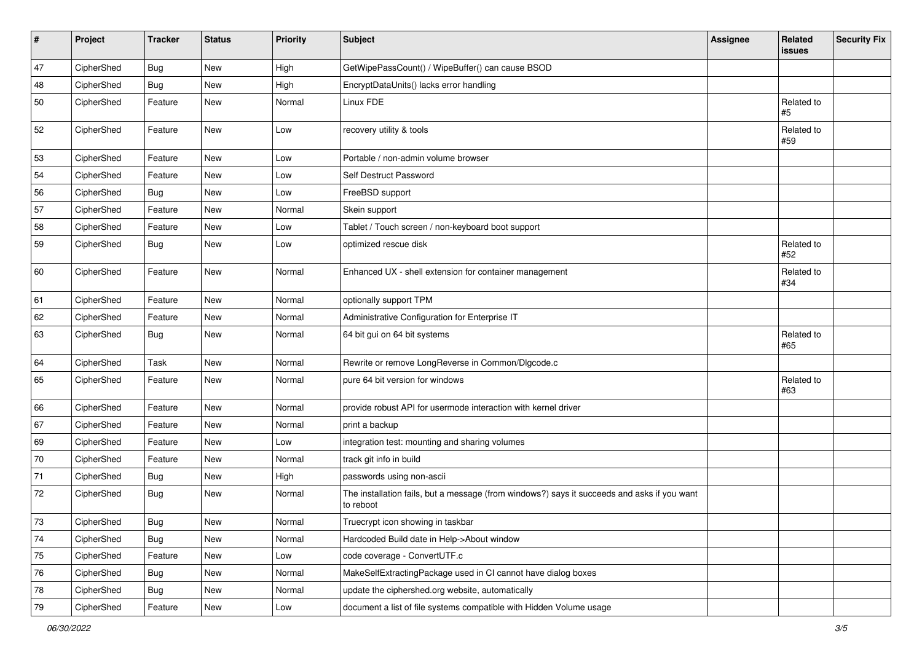| #          | Project    | <b>Tracker</b> | <b>Status</b> | Priority | <b>Subject</b>                                                                                           | <b>Assignee</b> | Related<br>issues | <b>Security Fix</b> |
|------------|------------|----------------|---------------|----------|----------------------------------------------------------------------------------------------------------|-----------------|-------------------|---------------------|
| 47         | CipherShed | <b>Bug</b>     | New           | High     | GetWipePassCount() / WipeBuffer() can cause BSOD                                                         |                 |                   |                     |
| 48         | CipherShed | <b>Bug</b>     | New           | High     | EncryptDataUnits() lacks error handling                                                                  |                 |                   |                     |
| 50         | CipherShed | Feature        | <b>New</b>    | Normal   | Linux FDE                                                                                                |                 | Related to<br>#5  |                     |
| 52         | CipherShed | Feature        | New           | Low      | recovery utility & tools                                                                                 |                 | Related to<br>#59 |                     |
| 53         | CipherShed | Feature        | New           | Low      | Portable / non-admin volume browser                                                                      |                 |                   |                     |
| 54         | CipherShed | Feature        | New           | Low      | Self Destruct Password                                                                                   |                 |                   |                     |
| 56         | CipherShed | <b>Bug</b>     | <b>New</b>    | Low      | FreeBSD support                                                                                          |                 |                   |                     |
| 57         | CipherShed | Feature        | New           | Normal   | Skein support                                                                                            |                 |                   |                     |
| 58         | CipherShed | Feature        | New           | Low      | Tablet / Touch screen / non-keyboard boot support                                                        |                 |                   |                     |
| 59         | CipherShed | Bug            | New           | Low      | optimized rescue disk                                                                                    |                 | Related to<br>#52 |                     |
| 60         | CipherShed | Feature        | New           | Normal   | Enhanced UX - shell extension for container management                                                   |                 | Related to<br>#34 |                     |
| 61         | CipherShed | Feature        | New           | Normal   | optionally support TPM                                                                                   |                 |                   |                     |
| 62         | CipherShed | Feature        | New           | Normal   | Administrative Configuration for Enterprise IT                                                           |                 |                   |                     |
| 63         | CipherShed | Bug            | New           | Normal   | 64 bit gui on 64 bit systems                                                                             |                 | Related to<br>#65 |                     |
| 64         | CipherShed | Task           | New           | Normal   | Rewrite or remove LongReverse in Common/DIgcode.c                                                        |                 |                   |                     |
| 65         | CipherShed | Feature        | New           | Normal   | pure 64 bit version for windows                                                                          |                 | Related to<br>#63 |                     |
| 66         | CipherShed | Feature        | New           | Normal   | provide robust API for usermode interaction with kernel driver                                           |                 |                   |                     |
| 67         | CipherShed | Feature        | New           | Normal   | print a backup                                                                                           |                 |                   |                     |
| 69         | CipherShed | Feature        | New           | Low      | integration test: mounting and sharing volumes                                                           |                 |                   |                     |
| 70         | CipherShed | Feature        | New           | Normal   | track git info in build                                                                                  |                 |                   |                     |
| 71         | CipherShed | <b>Bug</b>     | New           | High     | passwords using non-ascii                                                                                |                 |                   |                     |
| 72         | CipherShed | <b>Bug</b>     | New           | Normal   | The installation fails, but a message (from windows?) says it succeeds and asks if you want<br>to reboot |                 |                   |                     |
| $73\,$     | CipherShed | <b>Bug</b>     | New           | Normal   | Truecrypt icon showing in taskbar                                                                        |                 |                   |                     |
| 74         | CipherShed | <b>Bug</b>     | New           | Normal   | Hardcoded Build date in Help->About window                                                               |                 |                   |                     |
| $75\,$     | CipherShed | Feature        | New           | Low      | code coverage - ConvertUTF.c                                                                             |                 |                   |                     |
| 76         | CipherShed | Bug            | New           | Normal   | MakeSelfExtractingPackage used in CI cannot have dialog boxes                                            |                 |                   |                     |
| ${\bf 78}$ | CipherShed | <b>Bug</b>     | New           | Normal   | update the ciphershed org website, automatically                                                         |                 |                   |                     |
| $\bf 79$   | CipherShed | Feature        | New           | Low      | document a list of file systems compatible with Hidden Volume usage                                      |                 |                   |                     |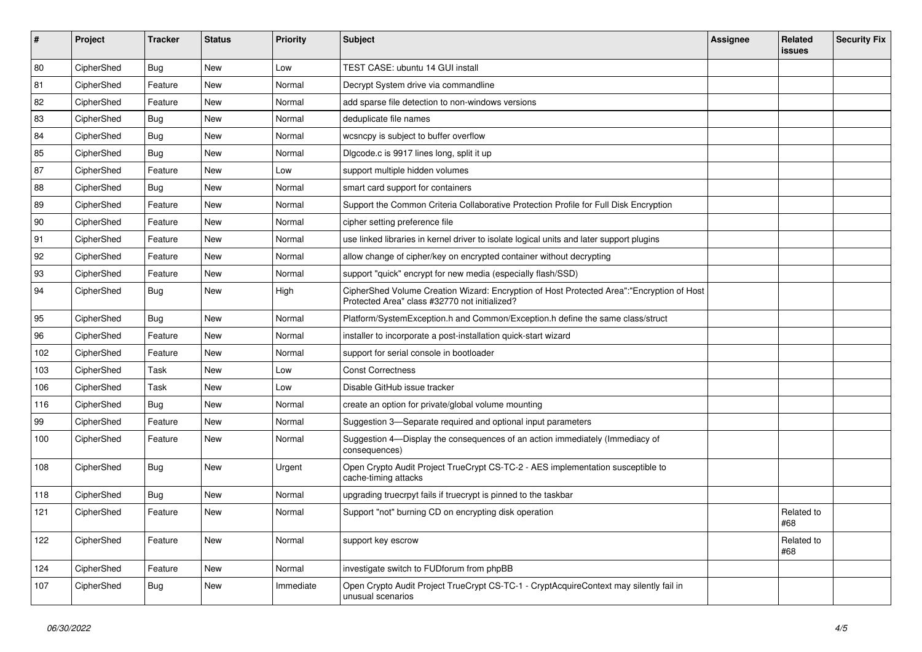| #   | Project    | <b>Tracker</b> | <b>Status</b> | <b>Priority</b> | Subject                                                                                                                                    | <b>Assignee</b> | Related<br><b>issues</b> | <b>Security Fix</b> |
|-----|------------|----------------|---------------|-----------------|--------------------------------------------------------------------------------------------------------------------------------------------|-----------------|--------------------------|---------------------|
| 80  | CipherShed | <b>Bug</b>     | <b>New</b>    | Low             | TEST CASE: ubuntu 14 GUI install                                                                                                           |                 |                          |                     |
| 81  | CipherShed | Feature        | New           | Normal          | Decrypt System drive via commandline                                                                                                       |                 |                          |                     |
| 82  | CipherShed | Feature        | New           | Normal          | add sparse file detection to non-windows versions                                                                                          |                 |                          |                     |
| 83  | CipherShed | <b>Bug</b>     | <b>New</b>    | Normal          | deduplicate file names                                                                                                                     |                 |                          |                     |
| 84  | CipherShed | <b>Bug</b>     | <b>New</b>    | Normal          | wcsncpy is subject to buffer overflow                                                                                                      |                 |                          |                     |
| 85  | CipherShed | <b>Bug</b>     | New           | Normal          | Digcode.c is 9917 lines long, split it up                                                                                                  |                 |                          |                     |
| 87  | CipherShed | Feature        | New           | Low             | support multiple hidden volumes                                                                                                            |                 |                          |                     |
| 88  | CipherShed | Bug            | New           | Normal          | smart card support for containers                                                                                                          |                 |                          |                     |
| 89  | CipherShed | Feature        | <b>New</b>    | Normal          | Support the Common Criteria Collaborative Protection Profile for Full Disk Encryption                                                      |                 |                          |                     |
| 90  | CipherShed | Feature        | New           | Normal          | cipher setting preference file                                                                                                             |                 |                          |                     |
| 91  | CipherShed | Feature        | New           | Normal          | use linked libraries in kernel driver to isolate logical units and later support plugins                                                   |                 |                          |                     |
| 92  | CipherShed | Feature        | New           | Normal          | allow change of cipher/key on encrypted container without decrypting                                                                       |                 |                          |                     |
| 93  | CipherShed | Feature        | New           | Normal          | support "quick" encrypt for new media (especially flash/SSD)                                                                               |                 |                          |                     |
| 94  | CipherShed | <b>Bug</b>     | <b>New</b>    | High            | CipherShed Volume Creation Wizard: Encryption of Host Protected Area":"Encryption of Host<br>Protected Area" class #32770 not initialized? |                 |                          |                     |
| 95  | CipherShed | <b>Bug</b>     | New           | Normal          | Platform/SystemException.h and Common/Exception.h define the same class/struct                                                             |                 |                          |                     |
| 96  | CipherShed | Feature        | <b>New</b>    | Normal          | installer to incorporate a post-installation quick-start wizard                                                                            |                 |                          |                     |
| 102 | CipherShed | Feature        | New           | Normal          | support for serial console in bootloader                                                                                                   |                 |                          |                     |
| 103 | CipherShed | Task           | <b>New</b>    | Low             | <b>Const Correctness</b>                                                                                                                   |                 |                          |                     |
| 106 | CipherShed | Task           | New           | Low             | Disable GitHub issue tracker                                                                                                               |                 |                          |                     |
| 116 | CipherShed | <b>Bug</b>     | New           | Normal          | create an option for private/global volume mounting                                                                                        |                 |                          |                     |
| 99  | CipherShed | Feature        | New           | Normal          | Suggestion 3-Separate required and optional input parameters                                                                               |                 |                          |                     |
| 100 | CipherShed | Feature        | New           | Normal          | Suggestion 4-Display the consequences of an action immediately (Immediacy of<br>consequences)                                              |                 |                          |                     |
| 108 | CipherShed | <b>Bug</b>     | <b>New</b>    | Urgent          | Open Crypto Audit Project TrueCrypt CS-TC-2 - AES implementation susceptible to<br>cache-timing attacks                                    |                 |                          |                     |
| 118 | CipherShed | <b>Bug</b>     | <b>New</b>    | Normal          | upgrading truecrpyt fails if truecrypt is pinned to the taskbar                                                                            |                 |                          |                     |
| 121 | CipherShed | Feature        | New           | Normal          | Support "not" burning CD on encrypting disk operation                                                                                      |                 | Related to<br>#68        |                     |
| 122 | CipherShed | Feature        | New           | Normal          | support key escrow                                                                                                                         |                 | Related to<br>#68        |                     |
| 124 | CipherShed | Feature        | New           | Normal          | investigate switch to FUDforum from phpBB                                                                                                  |                 |                          |                     |
| 107 | CipherShed | <b>Bug</b>     | New           | Immediate       | Open Crypto Audit Project TrueCrypt CS-TC-1 - CryptAcquireContext may silently fail in<br>unusual scenarios                                |                 |                          |                     |